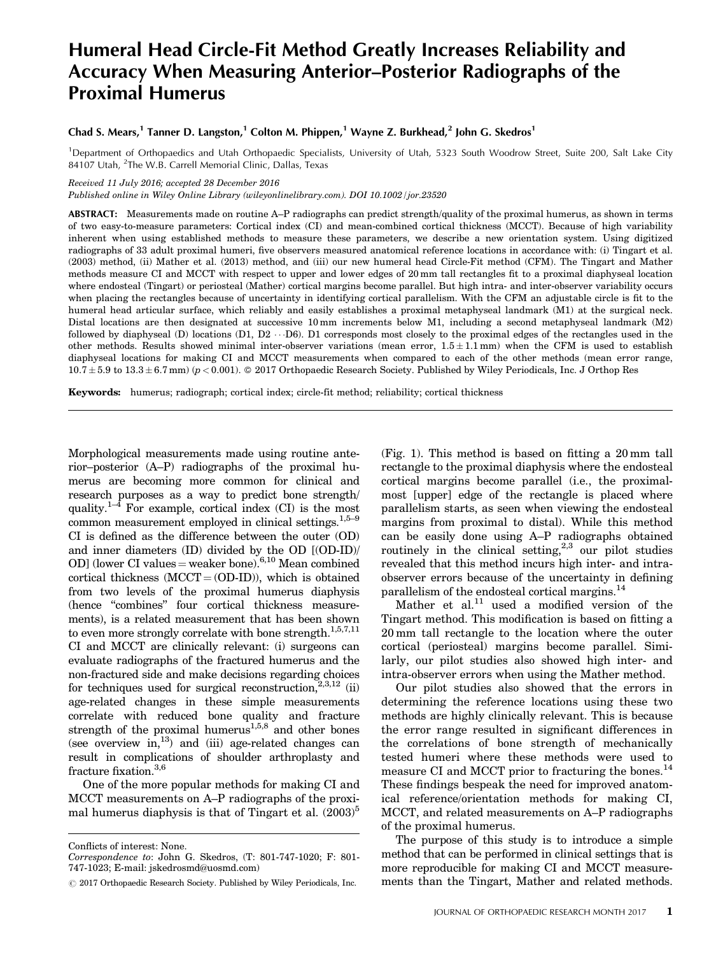# Humeral Head Circle-Fit Method Greatly Increases Reliability and Accuracy When Measuring Anterior–Posterior Radiographs of the Proximal Humerus

# Chad S. Mears,<sup>1</sup> Tanner D. Langston,<sup>1</sup> Colton M. Phippen,<sup>1</sup> Wayne Z. Burkhead,<sup>2</sup> John G. Skedros<sup>1</sup>

<sup>1</sup>Department of Orthopaedics and Utah Orthopaedic Specialists, University of Utah, 5323 South Woodrow Street, Suite 200, Salt Lake City 84107 Utah, <sup>2</sup>The W.B. Carrell Memorial Clinic, Dallas, Texas

Received 11 July 2016; accepted 28 December 2016

Published online in Wiley Online Library (wileyonlinelibrary.com). DOI 10.1002/jor.23520

ABSTRACT: Measurements made on routine A–P radiographs can predict strength/quality of the proximal humerus, as shown in terms of two easy-to-measure parameters: Cortical index (CI) and mean-combined cortical thickness (MCCT). Because of high variability inherent when using established methods to measure these parameters, we describe a new orientation system. Using digitized radiographs of 33 adult proximal humeri, five observers measured anatomical reference locations in accordance with: (i) Tingart et al. (2003) method, (ii) Mather et al. (2013) method, and (iii) our new humeral head Circle-Fit method (CFM). The Tingart and Mather methods measure CI and MCCT with respect to upper and lower edges of 20 mm tall rectangles fit to a proximal diaphyseal location where endosteal (Tingart) or periosteal (Mather) cortical margins become parallel. But high intra- and inter-observer variability occurs when placing the rectangles because of uncertainty in identifying cortical parallelism. With the CFM an adjustable circle is fit to the humeral head articular surface, which reliably and easily establishes a proximal metaphyseal landmark (M1) at the surgical neck. Distal locations are then designated at successive 10 mm increments below M1, including a second metaphyseal landmark (M2) followed by diaphyseal (D) locations (D1, D2  $\cdots$  D6). D1 corresponds most closely to the proximal edges of the rectangles used in the other methods. Results showed minimal inter-observer variations (mean error,  $1.5 \pm 1.1$  mm) when the CFM is used to establish diaphyseal locations for making CI and MCCT measurements when compared to each of the other methods (mean error range,  $10.7 \pm 5.9$  to  $13.3 \pm 6.7$  mm) ( $p < 0.001$ ).  $\circ$  2017 Orthopaedic Research Society. Published by Wiley Periodicals, Inc. J Orthop Res

Keywords: humerus; radiograph; cortical index; circle-fit method; reliability; cortical thickness

Morphological measurements made using routine anterior–posterior (A–P) radiographs of the proximal humerus are becoming more common for clinical and research purposes as a way to predict bone strength/ quality. $1-4$  For example, cortical index (CI) is the most common measurement employed in clinical settings.<sup>1,5–9</sup> CI is defined as the difference between the outer (OD) and inner diameters (ID) divided by the OD [(OD-ID)/ OD] (lower CI values = weaker bone). $6,10$  Mean combined cortical thickness  $(MCCT = (OD-ID))$ , which is obtained from two levels of the proximal humerus diaphysis (hence "combines" four cortical thickness measurements), is a related measurement that has been shown to even more strongly correlate with bone strength.<sup>1,5,7,11</sup> CI and MCCT are clinically relevant: (i) surgeons can evaluate radiographs of the fractured humerus and the non-fractured side and make decisions regarding choices for techniques used for surgical reconstruction,  $^{2,3,12}$  (ii) age-related changes in these simple measurements correlate with reduced bone quality and fracture strength of the proximal humerus<sup>1,5,8</sup> and other bones (see overview in, $^{13}$ ) and (iii) age-related changes can result in complications of shoulder arthroplasty and fracture fixation.<sup>3,6</sup>

One of the more popular methods for making CI and MCCT measurements on A–P radiographs of the proximal humerus diaphysis is that of Tingart et al.  $(2003)^5$  (Fig. 1). This method is based on fitting a 20 mm tall rectangle to the proximal diaphysis where the endosteal cortical margins become parallel (i.e., the proximalmost [upper] edge of the rectangle is placed where parallelism starts, as seen when viewing the endosteal margins from proximal to distal). While this method can be easily done using A–P radiographs obtained routinely in the clinical setting, $2,3$  our pilot studies revealed that this method incurs high inter- and intraobserver errors because of the uncertainty in defining parallelism of the endosteal cortical margins.<sup>14</sup>

Mather et al. $^{11}$  used a modified version of the Tingart method. This modification is based on fitting a 20 mm tall rectangle to the location where the outer cortical (periosteal) margins become parallel. Similarly, our pilot studies also showed high inter- and intra-observer errors when using the Mather method.

Our pilot studies also showed that the errors in determining the reference locations using these two methods are highly clinically relevant. This is because the error range resulted in significant differences in the correlations of bone strength of mechanically tested humeri where these methods were used to measure CI and MCCT prior to fracturing the bones.<sup>14</sup> These findings bespeak the need for improved anatomical reference/orientation methods for making CI, MCCT, and related measurements on A–P radiographs of the proximal humerus.

The purpose of this study is to introduce a simple method that can be performed in clinical settings that is more reproducible for making CI and MCCT measurements than the Tingart, Mather and related methods.

Conflicts of interest: None.

Correspondence to: John G. Skedros, (T: 801-747-1020; F: 801- 747-1023; E-mail: jskedrosmd@uosmd.com)

 $\odot$  2017 Orthopaedic Research Society. Published by Wiley Periodicals, Inc.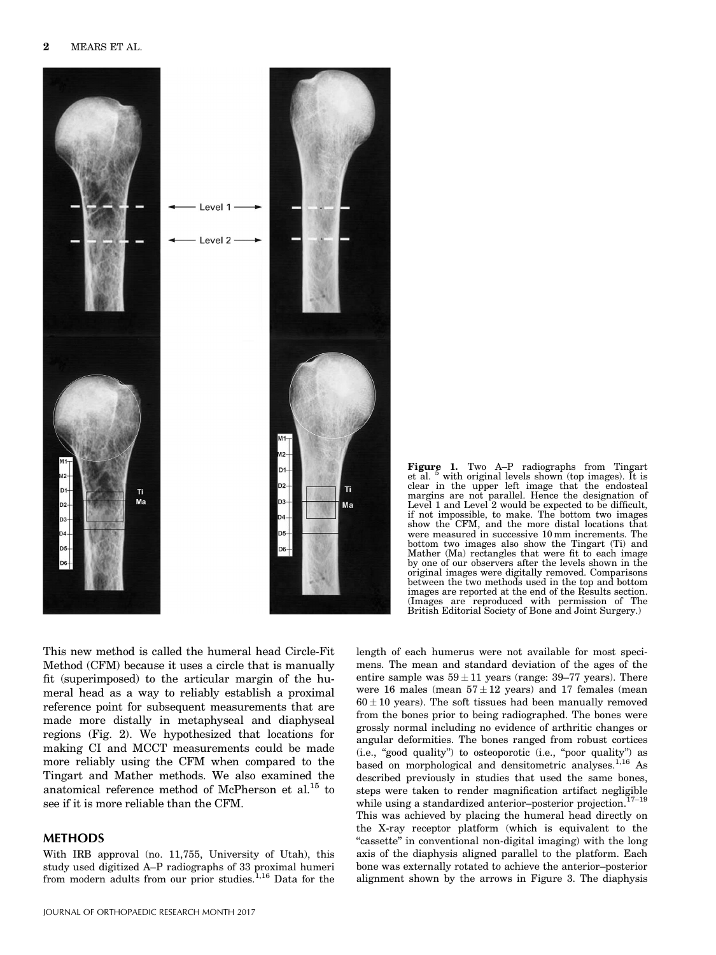



This new method is called the humeral head Circle-Fit Method (CFM) because it uses a circle that is manually fit (superimposed) to the articular margin of the humeral head as a way to reliably establish a proximal reference point for subsequent measurements that are made more distally in metaphyseal and diaphyseal regions (Fig. 2). We hypothesized that locations for making CI and MCCT measurements could be made more reliably using the CFM when compared to the Tingart and Mather methods. We also examined the anatomical reference method of McPherson et al.<sup>15</sup> to see if it is more reliable than the CFM.

# **METHODS**

With IRB approval (no. 11,755, University of Utah), this study used digitized A–P radiographs of 33 proximal humeri from modern adults from our prior studies.<sup>1,16</sup> Data for the mens. The mean and standard deviation of the ages of the entire sample was  $59 \pm 11$  years (range: 39–77 years). There were 16 males (mean  $57 \pm 12$  years) and 17 females (mean  $60 \pm 10$  years). The soft tissues had been manually removed from the bones prior to being radiographed. The bones were grossly normal including no evidence of arthritic changes or angular deformities. The bones ranged from robust cortices (i.e., "good quality") to osteoporotic (i.e., "poor quality") as based on morphological and densitometric analyses. $1,16$  As described previously in studies that used the same bones, steps were taken to render magnification artifact negligible while using a standardized anterior–posterior projection.<sup>17–19</sup> This was achieved by placing the humeral head directly on the X-ray receptor platform (which is equivalent to the "cassette" in conventional non-digital imaging) with the long axis of the diaphysis aligned parallel to the platform. Each bone was externally rotated to achieve the anterior–posterior alignment shown by the arrows in Figure 3. The diaphysis

length of each humerus were not available for most speci-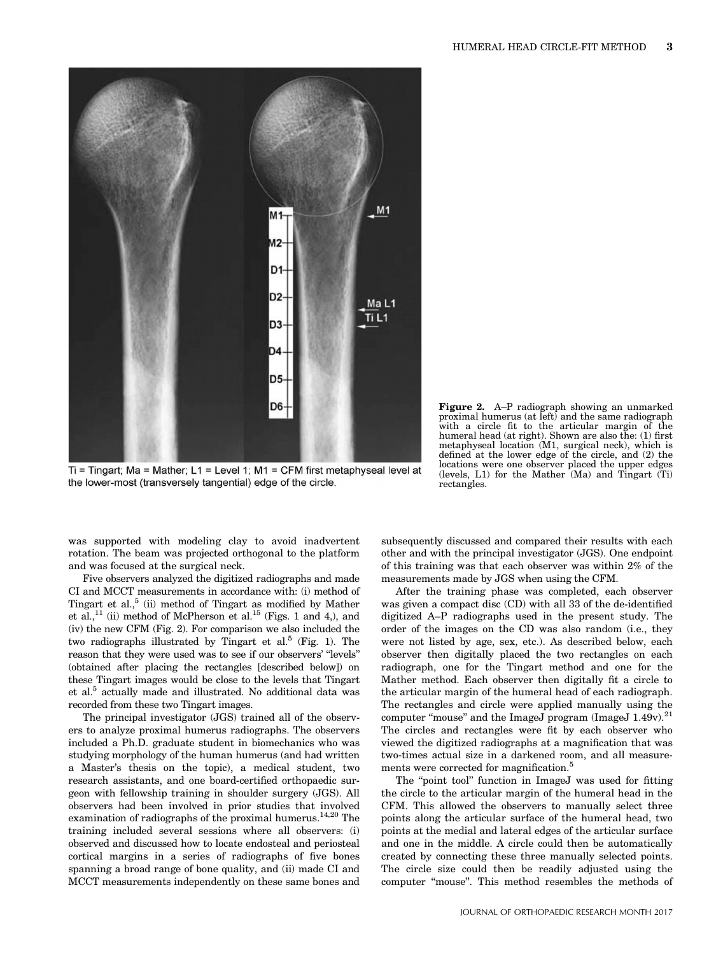

Ti = Tingart; Ma = Mather; L1 = Level 1; M1 = CFM first metaphyseal level at the lower-most (transversely tangential) edge of the circle.

Figure 2. A–P radiograph showing an unmarked proximal humerus (at left) and the same radiograph with a circle fit to the articular margin of the humeral head (at right). Shown are also the: (1) first metaphyseal location (M1, surgical neck), which is defined at the lower edge of the circle, and (2) the locations were one observer placed the upper edges (levels, L1) for the Mather  $(Ma)$  and Tingart  $(Ti)$ rectangles.

was supported with modeling clay to avoid inadvertent rotation. The beam was projected orthogonal to the platform and was focused at the surgical neck.

Five observers analyzed the digitized radiographs and made CI and MCCT measurements in accordance with: (i) method of Tingart et al.,<sup>5</sup> (ii) method of Tingart as modified by Mather et al.,<sup>11</sup> (ii) method of McPherson et al.<sup>15</sup> (Figs. 1 and 4,), and (iv) the new CFM (Fig. 2). For comparison we also included the two radiographs illustrated by Tingart et al.<sup>5</sup> (Fig. 1). The reason that they were used was to see if our observers' "levels" (obtained after placing the rectangles [described below]) on these Tingart images would be close to the levels that Tingart et al.<sup>5</sup> actually made and illustrated. No additional data was recorded from these two Tingart images.

The principal investigator (JGS) trained all of the observers to analyze proximal humerus radiographs. The observers included a Ph.D. graduate student in biomechanics who was studying morphology of the human humerus (and had written a Master's thesis on the topic), a medical student, two research assistants, and one board-certified orthopaedic surgeon with fellowship training in shoulder surgery (JGS). All observers had been involved in prior studies that involved examination of radiographs of the proximal humerus.<sup>14,20</sup> The training included several sessions where all observers: (i) observed and discussed how to locate endosteal and periosteal cortical margins in a series of radiographs of five bones spanning a broad range of bone quality, and (ii) made CI and MCCT measurements independently on these same bones and subsequently discussed and compared their results with each other and with the principal investigator (JGS). One endpoint of this training was that each observer was within 2% of the measurements made by JGS when using the CFM.

After the training phase was completed, each observer was given a compact disc (CD) with all 33 of the de-identified digitized A–P radiographs used in the present study. The order of the images on the CD was also random (i.e., they were not listed by age, sex, etc.). As described below, each observer then digitally placed the two rectangles on each radiograph, one for the Tingart method and one for the Mather method. Each observer then digitally fit a circle to the articular margin of the humeral head of each radiograph. The rectangles and circle were applied manually using the computer "mouse" and the ImageJ program (ImageJ 1.49v).<sup>21</sup> The circles and rectangles were fit by each observer who viewed the digitized radiographs at a magnification that was two-times actual size in a darkened room, and all measurements were corrected for magnification.<sup>5</sup>

The "point tool" function in ImageJ was used for fitting the circle to the articular margin of the humeral head in the CFM. This allowed the observers to manually select three points along the articular surface of the humeral head, two points at the medial and lateral edges of the articular surface and one in the middle. A circle could then be automatically created by connecting these three manually selected points. The circle size could then be readily adjusted using the computer "mouse". This method resembles the methods of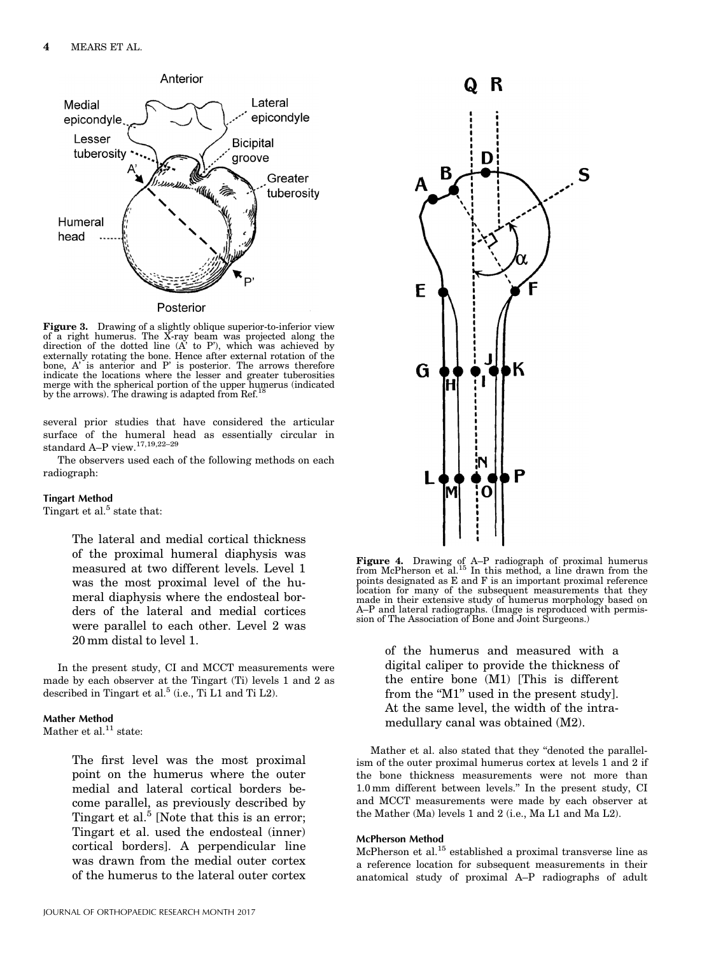

Figure 3. Drawing of a slightly oblique superior-to-inferior view of a right humerus. The X-ray beam was projected along the direction of the dotted line (A' to P'), which was achieved by externally rotating the bone. Hence after external rotation of the bone, A' is anterior and P' is posterior. The arrows therefore indicate the locations where the lesser and greater tuberosities merge with the spherical portion of the upper humerus (indicated by the arrows). The drawing is adapted from Ref.

several prior studies that have considered the articular surface of the humeral head as essentially circular in standard A–P view.17,19,22–29

The observers used each of the following methods on each radiograph:

#### Tingart Method

Tingart et al.<sup>5</sup> state that:

The lateral and medial cortical thickness of the proximal humeral diaphysis was measured at two different levels. Level 1 was the most proximal level of the humeral diaphysis where the endosteal borders of the lateral and medial cortices were parallel to each other. Level 2 was 20 mm distal to level 1.

In the present study, CI and MCCT measurements were made by each observer at the Tingart (Ti) levels 1 and 2 as described in Tingart et al.<sup>5</sup> (i.e., Ti L1 and Ti L2).

#### Mather Method

Mather et al. $^{11}$  state:

The first level was the most proximal point on the humerus where the outer medial and lateral cortical borders become parallel, as previously described by Tingart et al. $^5$  [Note that this is an error; Tingart et al. used the endosteal (inner) cortical borders]. A perpendicular line was drawn from the medial outer cortex of the humerus to the lateral outer cortex



Figure 4. Drawing of A–P radiograph of proximal humerus<br>from McPherson et al.<sup>15</sup> In this method, a line drawn from the points designated as E and F is an important proximal reference location for many of the subsequent measurements that they made in their extensive study of humerus morphology based on A–P and lateral radiographs. (Image is reproduced with permission of The Association of Bone and Joint Surgeons.)

of the humerus and measured with a digital caliper to provide the thickness of the entire bone (M1) [This is different from the "M1" used in the present study]. At the same level, the width of the intramedullary canal was obtained (M2).

Mather et al. also stated that they "denoted the parallelism of the outer proximal humerus cortex at levels 1 and 2 if the bone thickness measurements were not more than 1.0 mm different between levels." In the present study, CI and MCCT measurements were made by each observer at the Mather (Ma) levels 1 and 2 (i.e., Ma L1 and Ma L2).

#### McPherson Method

McPherson et al.<sup>15</sup> established a proximal transverse line as a reference location for subsequent measurements in their anatomical study of proximal A–P radiographs of adult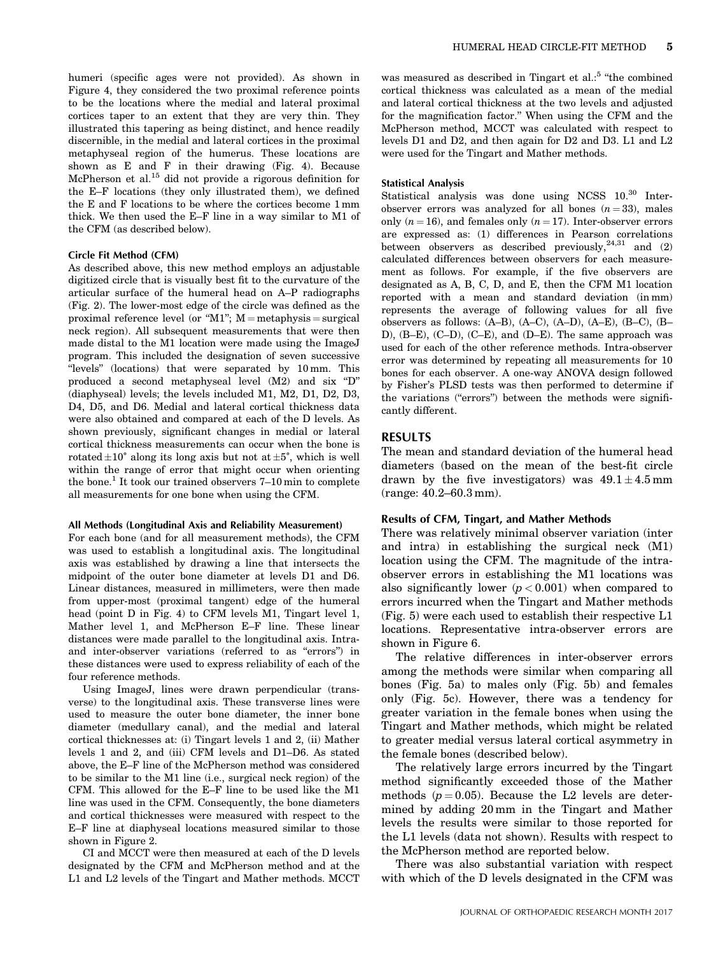humeri (specific ages were not provided). As shown in Figure 4, they considered the two proximal reference points to be the locations where the medial and lateral proximal cortices taper to an extent that they are very thin. They illustrated this tapering as being distinct, and hence readily discernible, in the medial and lateral cortices in the proximal metaphyseal region of the humerus. These locations are shown as E and F in their drawing (Fig. 4). Because McPherson et al.<sup>15</sup> did not provide a rigorous definition for the E–F locations (they only illustrated them), we defined the E and F locations to be where the cortices become 1 mm thick. We then used the E–F line in a way similar to M1 of the CFM (as described below).

#### Circle Fit Method (CFM)

As described above, this new method employs an adjustable digitized circle that is visually best fit to the curvature of the articular surface of the humeral head on A–P radiographs (Fig. 2). The lower-most edge of the circle was defined as the proximal reference level (or "M1";  $M =$  metaphysis = surgical neck region). All subsequent measurements that were then made distal to the M1 location were made using the ImageJ program. This included the designation of seven successive "levels" (locations) that were separated by 10 mm. This produced a second metaphyseal level (M2) and six "D" (diaphyseal) levels; the levels included M1, M2, D1, D2, D3, D4, D5, and D6. Medial and lateral cortical thickness data were also obtained and compared at each of the D levels. As shown previously, significant changes in medial or lateral cortical thickness measurements can occur when the bone is rotated  $\pm 10^{\circ}$  along its long axis but not at  $\pm 5^{\circ}$ , which is well within the range of error that might occur when orienting the bone.<sup>1</sup> It took our trained observers 7-10 min to complete all measurements for one bone when using the CFM.

#### All Methods (Longitudinal Axis and Reliability Measurement)

For each bone (and for all measurement methods), the CFM was used to establish a longitudinal axis. The longitudinal axis was established by drawing a line that intersects the midpoint of the outer bone diameter at levels D1 and D6. Linear distances, measured in millimeters, were then made from upper-most (proximal tangent) edge of the humeral head (point D in Fig. 4) to CFM levels M1, Tingart level 1, Mather level 1, and McPherson E–F line. These linear distances were made parallel to the longitudinal axis. Intraand inter-observer variations (referred to as "errors") in these distances were used to express reliability of each of the four reference methods.

Using ImageJ, lines were drawn perpendicular (transverse) to the longitudinal axis. These transverse lines were used to measure the outer bone diameter, the inner bone diameter (medullary canal), and the medial and lateral cortical thicknesses at: (i) Tingart levels 1 and 2, (ii) Mather levels 1 and 2, and (iii) CFM levels and D1–D6. As stated above, the E–F line of the McPherson method was considered to be similar to the M1 line (i.e., surgical neck region) of the CFM. This allowed for the E–F line to be used like the M1 line was used in the CFM. Consequently, the bone diameters and cortical thicknesses were measured with respect to the E–F line at diaphyseal locations measured similar to those shown in Figure 2.

CI and MCCT were then measured at each of the D levels designated by the CFM and McPherson method and at the L1 and L2 levels of the Tingart and Mather methods. MCCT

was measured as described in Tingart et al.:<sup>5</sup> "the combined cortical thickness was calculated as a mean of the medial and lateral cortical thickness at the two levels and adjusted for the magnification factor." When using the CFM and the McPherson method, MCCT was calculated with respect to levels D1 and D2, and then again for D2 and D3. L1 and L2 were used for the Tingart and Mather methods.

#### Statistical Analysis

Statistical analysis was done using NCSS  $10^{30}$  Interobserver errors was analyzed for all bones  $(n = 33)$ , males only  $(n = 16)$ , and females only  $(n = 17)$ . Inter-observer errors are expressed as: (1) differences in Pearson correlations between observers as described previously,  $24,31$  and (2) calculated differences between observers for each measurement as follows. For example, if the five observers are designated as A, B, C, D, and E, then the CFM M1 location reported with a mean and standard deviation (in mm) represents the average of following values for all five observers as follows: (A–B), (A–C), (A–D), (A–E), (B–C), (B– D), (B–E), (C–D), (C–E), and (D–E). The same approach was used for each of the other reference methods. Intra-observer error was determined by repeating all measurements for 10 bones for each observer. A one-way ANOVA design followed by Fisher's PLSD tests was then performed to determine if the variations ("errors") between the methods were significantly different.

## RESULTS

The mean and standard deviation of the humeral head diameters (based on the mean of the best-fit circle drawn by the five investigators) was  $49.1 \pm 4.5$  mm (range: 40.2–60.3 mm).

## Results of CFM, Tingart, and Mather Methods

There was relatively minimal observer variation (inter and intra) in establishing the surgical neck (M1) location using the CFM. The magnitude of the intraobserver errors in establishing the M1 locations was also significantly lower  $(p < 0.001)$  when compared to errors incurred when the Tingart and Mather methods (Fig. 5) were each used to establish their respective L1 locations. Representative intra-observer errors are shown in Figure 6.

The relative differences in inter-observer errors among the methods were similar when comparing all bones (Fig. 5a) to males only (Fig. 5b) and females only (Fig. 5c). However, there was a tendency for greater variation in the female bones when using the Tingart and Mather methods, which might be related to greater medial versus lateral cortical asymmetry in the female bones (described below).

The relatively large errors incurred by the Tingart method significantly exceeded those of the Mather methods ( $p = 0.05$ ). Because the L2 levels are determined by adding 20 mm in the Tingart and Mather levels the results were similar to those reported for the L1 levels (data not shown). Results with respect to the McPherson method are reported below.

There was also substantial variation with respect with which of the D levels designated in the CFM was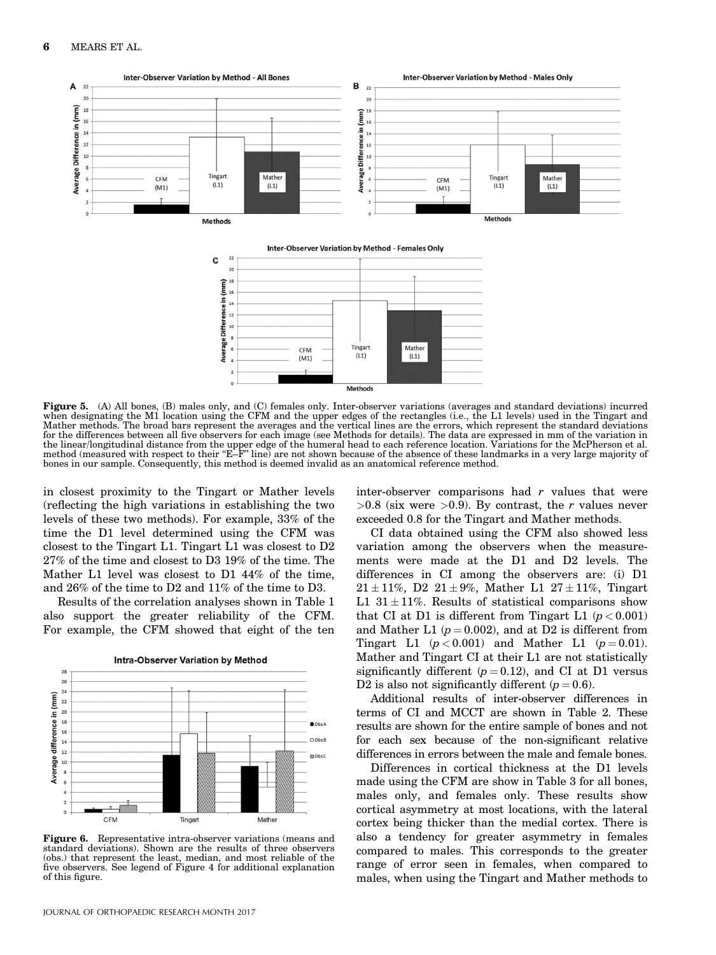

Methods

Figure 5. (A) All bones, (B) males only, and (C) females only. Inter-observer variations (averages and standard deviations) incurred when designating the M1 location using the CFM and the upper edges of the rectangles (i.e., the L1 levels) used in the Tingart and Mather methods. The broad bars represent the averages and the vertical lines are the errors, which represent the standard deviations for the differences between all five observers for each image (see Methods for details). The data are expressed in mm of the variation in the linear/longitudinal distance from the upper edge of the humeral head to each reference location. Variations for the McPherson et al.<br>method (measured with respect to their "E–F" line) are not shown because of the absen bones in our sample. Consequently, this method is deemed invalid as an anatomical reference method.

in closest proximity to the Tingart or Mather levels (reflecting the high variations in establishing the two levels of these two methods). For example, 33% of the time the D1 level determined using the CFM was closest to the Tingart L1. Tingart L1 was closest to D2 27% of the time and closest to D3 19% of the time. The Mather L1 level was closest to D1 44% of the time, and 26% of the time to D2 and 11% of the time to D3.

Results of the correlation analyses shown in Table 1 also support the greater reliability of the CFM. For example, the CFM showed that eight of the ten



**Figure 6.** Representative intra-observer variations (means and standard deviations). Shown are the results of three observers (obs.) that represent the least, median, and most reliable of the five observers. See legend of Figure 4 for additional explanation of this figure.

inter-observer comparisons had  $r$  values that were  $>0.8$  (six were  $>0.9$ ). By contrast, the r values never exceeded 0.8 for the Tingart and Mather methods.

CI data obtained using the CFM also showed less variation among the observers when the measurements were made at the D1 and D2 levels. The differences in CI among the observers are: (i) D1  $21 \pm 11\%$ , D2  $21 \pm 9\%$ , Mather L1  $27 \pm 11\%$ , Tingart L1  $31 \pm 11\%$ . Results of statistical comparisons show that CI at D1 is different from Tingart L1  $(p < 0.001)$ and Mather L1 ( $p = 0.002$ ), and at D2 is different from Tingart L1  $(p < 0.001)$  and Mather L1  $(p = 0.01)$ . Mather and Tingart CI at their L1 are not statistically significantly different  $(p = 0.12)$ , and CI at D1 versus D2 is also not significantly different  $(p = 0.6)$ .

Additional results of inter-observer differences in terms of CI and MCCT are shown in Table 2. These results are shown for the entire sample of bones and not for each sex because of the non-significant relative differences in errors between the male and female bones.

Differences in cortical thickness at the D1 levels made using the CFM are show in Table 3 for all bones, males only, and females only. These results show cortical asymmetry at most locations, with the lateral cortex being thicker than the medial cortex. There is also a tendency for greater asymmetry in females compared to males. This corresponds to the greater range of error seen in females, when compared to males, when using the Tingart and Mather methods to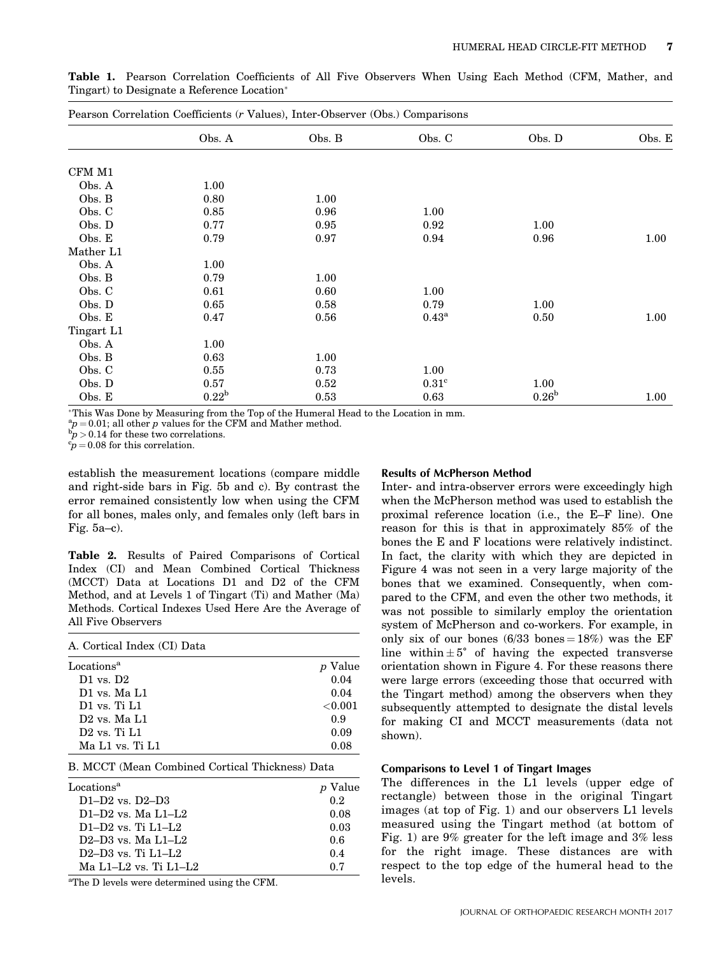| Pearson Correlation Coefficients (r Values), Inter-Observer (Obs.) Comparisons |                |        |                     |                   |        |
|--------------------------------------------------------------------------------|----------------|--------|---------------------|-------------------|--------|
|                                                                                | Obs. A         | Obs. B | Obs. C              | Obs. D            | Obs. E |
| CFM M1                                                                         |                |        |                     |                   |        |
| Obs. A                                                                         | 1.00           |        |                     |                   |        |
| Obs. B                                                                         | 0.80           | 1.00   |                     |                   |        |
| Obs. C                                                                         | 0.85           | 0.96   | 1.00                |                   |        |
| Obs. D                                                                         | 0.77           | 0.95   | 0.92                | $1.00\,$          |        |
| Obs. E                                                                         | 0.79           | 0.97   | 0.94                | 0.96              | 1.00   |
| Mather L1                                                                      |                |        |                     |                   |        |
| Obs. A                                                                         | 1.00           |        |                     |                   |        |
| Obs. B                                                                         | 0.79           | 1.00   |                     |                   |        |
| Obs. C                                                                         | 0.61           | 0.60   | 1.00                |                   |        |
| Obs. D                                                                         | 0.65           | 0.58   | 0.79                | $1.00\,$          |        |
| Obs. E                                                                         | 0.47           | 0.56   | $0.43^{\mathrm{a}}$ | 0.50              | 1.00   |
| Tingart L1                                                                     |                |        |                     |                   |        |
| Obs. A                                                                         | 1.00           |        |                     |                   |        |
| Obs. B                                                                         | 0.63           | 1.00   |                     |                   |        |
| Obs. C                                                                         | 0.55           | 0.73   | 1.00                |                   |        |
| Obs. D                                                                         | 0.57           | 0.52   | $0.31^{\circ}$      | 1.00              |        |
| Obs. E                                                                         | $0.22^{\rm b}$ | 0.53   | 0.63                | 0.26 <sup>b</sup> | 1.00   |

Table 1. Pearson Correlation Coefficients of All Five Observers When Using Each Method (CFM, Mather, and Tingart) to Designate a Reference Location

This Was Done by Measuring from the Top of the Humeral Head to the Location in mm.

 ${}_{.p}^{\mathrm{a}}$  p = 0.01; all other p values for the CFM and Mather method.

 $b_D^{\text{b}} > 0.14$  for these two correlations.

 $c_P^t$  = 0.08 for this correlation.

establish the measurement locations (compare middle and right-side bars in Fig. 5b and c). By contrast the error remained consistently low when using the CFM for all bones, males only, and females only (left bars in Fig. 5a–c).

Table 2. Results of Paired Comparisons of Cortical Index (CI) and Mean Combined Cortical Thickness (MCCT) Data at Locations D1 and D2 of the CFM Method, and at Levels 1 of Tingart (Ti) and Mather (Ma) Methods. Cortical Indexes Used Here Are the Average of All Five Observers

| A. Cortical Index (CI) Data |                |
|-----------------------------|----------------|
| Locations <sup>a</sup>      | <i>p</i> Value |
| $D1$ vs. $D2$               | 0.04           |
| D1 vs. Ma L1                | 0.04           |
| $D1$ vs. Ti $L1$            | ${<}0.001$     |
| $D2$ vs. Ma $L1$            | 0.9            |
| $D2$ vs. Ti $L1$            | 0.09           |
| Ma L1 vs. Ti L1             | 0.08           |

|  |  |  |  |  | B. MCCT (Mean Combined Cortical Thickness) Data |  |
|--|--|--|--|--|-------------------------------------------------|--|
|--|--|--|--|--|-------------------------------------------------|--|

| Locations <sup>a</sup> | <i>p</i> Value |
|------------------------|----------------|
| $D1-D2$ vs. $D2-D3$    | 0.2            |
| $D1-D2$ vs. Ma $L1-L2$ | 0.08           |
| $D1-D2$ vs. Ti $L1-L2$ | 0.03           |
| $D2-D3$ vs. Ma $L1-L2$ | 0.6            |
| $D2-D3$ vs. Ti $L1-L2$ | 0.4            |
| Ma L1–L2 vs. Ti L1–L2  | 07             |

<sup>a</sup>The D levels were determined using the CFM.

### Results of McPherson Method

Inter- and intra-observer errors were exceedingly high when the McPherson method was used to establish the proximal reference location (i.e., the E–F line). One reason for this is that in approximately 85% of the bones the E and F locations were relatively indistinct. In fact, the clarity with which they are depicted in Figure 4 was not seen in a very large majority of the bones that we examined. Consequently, when compared to the CFM, and even the other two methods, it was not possible to similarly employ the orientation system of McPherson and co-workers. For example, in only six of our bones  $(6/33 \text{ bones} = 18\%)$  was the EF line within  $\pm 5^{\circ}$  of having the expected transverse orientation shown in Figure 4. For these reasons there were large errors (exceeding those that occurred with the Tingart method) among the observers when they subsequently attempted to designate the distal levels for making CI and MCCT measurements (data not shown).

## Comparisons to Level 1 of Tingart Images

The differences in the L1 levels (upper edge of rectangle) between those in the original Tingart images (at top of Fig. 1) and our observers L1 levels measured using the Tingart method (at bottom of Fig. 1) are 9% greater for the left image and 3% less for the right image. These distances are with respect to the top edge of the humeral head to the levels.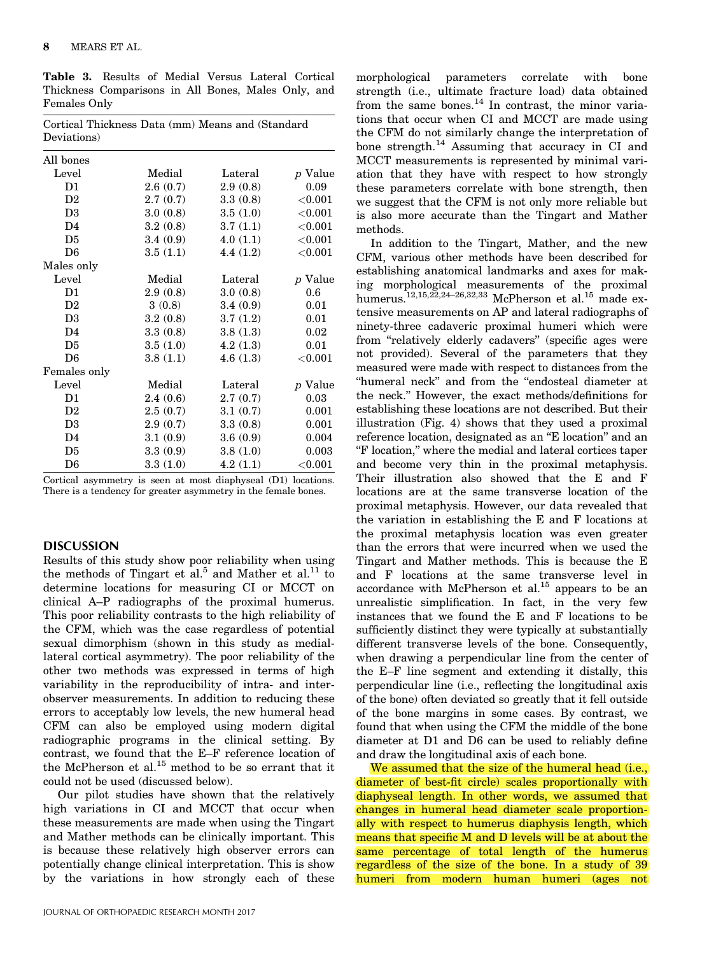Table 3. Results of Medial Versus Lateral Cortical Thickness Comparisons in All Bones, Males Only, and Females Only

Cortical Thickness Data (mm) Means and (Standard

| Deviations)    |          |          |                |
|----------------|----------|----------|----------------|
| All bones      |          |          |                |
| Level          | Medial   | Lateral  | <i>p</i> Value |
| D1             | 2.6(0.7) | 2.9(0.8) | 0.09           |
| D <sub>2</sub> | 2.7(0.7) | 3.3(0.8) | ${<}0.001$     |
| D <sub>3</sub> | 3.0(0.8) | 3.5(1.0) | $<$ $0.001$    |
| D <sub>4</sub> | 3.2(0.8) | 3.7(1.1) | ${<}0.001$     |
| D <sub>5</sub> | 3.4(0.9) | 4.0(1.1) | ${<}0.001$     |
| D6             | 3.5(1.1) | 4.4(1.2) | $<$ $0.001$    |
| Males only     |          |          |                |
| Level          | Medial   | Lateral  | <i>p</i> Value |
| D1             | 2.9(0.8) | 3.0(0.8) | 0.6            |
| D <sub>2</sub> | 3(0.8)   | 3.4(0.9) | 0.01           |
| D <sub>3</sub> | 3.2(0.8) | 3.7(1.2) | 0.01           |
| D <sub>4</sub> | 3.3(0.8) | 3.8(1.3) | 0.02           |
| D <sub>5</sub> | 3.5(1.0) | 4.2(1.3) | 0.01           |
| D <sub>6</sub> | 3.8(1.1) | 4.6(1.3) | $<$ $0.001$    |
| Females only   |          |          |                |
| Level          | Medial   | Lateral  | p Value        |
| D1             | 2.4(0.6) | 2.7(0.7) | 0.03           |
| D <sub>2</sub> | 2.5(0.7) | 3.1(0.7) | 0.001          |
| D <sub>3</sub> | 2.9(0.7) | 3.3(0.8) | 0.001          |
| D4             | 3.1(0.9) | 3.6(0.9) | 0.004          |
| D <sub>5</sub> | 3.3(0.9) | 3.8(1.0) | 0.003          |
| D <sub>6</sub> | 3.3(1.0) | 4.2(1.1) | $<$ $0.001$    |

Cortical asymmetry is seen at most diaphyseal (D1) locations. There is a tendency for greater asymmetry in the female bones.

# DISCUSSION

Results of this study show poor reliability when using the methods of Tingart et al.<sup>5</sup> and Mather et al.<sup>11</sup> to determine locations for measuring CI or MCCT on clinical A–P radiographs of the proximal humerus. This poor reliability contrasts to the high reliability of the CFM, which was the case regardless of potential sexual dimorphism (shown in this study as mediallateral cortical asymmetry). The poor reliability of the other two methods was expressed in terms of high variability in the reproducibility of intra- and interobserver measurements. In addition to reducing these errors to acceptably low levels, the new humeral head CFM can also be employed using modern digital radiographic programs in the clinical setting. By contrast, we found that the E–F reference location of the McPherson et al.<sup>15</sup> method to be so errant that it could not be used (discussed below).

Our pilot studies have shown that the relatively high variations in CI and MCCT that occur when these measurements are made when using the Tingart and Mather methods can be clinically important. This is because these relatively high observer errors can potentially change clinical interpretation. This is show by the variations in how strongly each of these

morphological parameters correlate with bone strength (i.e., ultimate fracture load) data obtained from the same bones. $^{14}$  In contrast, the minor variations that occur when CI and MCCT are made using the CFM do not similarly change the interpretation of bone strength. $^{14}$  Assuming that accuracy in CI and MCCT measurements is represented by minimal variation that they have with respect to how strongly these parameters correlate with bone strength, then we suggest that the CFM is not only more reliable but is also more accurate than the Tingart and Mather methods.

In addition to the Tingart, Mather, and the new CFM, various other methods have been described for establishing anatomical landmarks and axes for making morphological measurements of the proximal humerus.<sup>12,15,22,24–26,32,33</sup> McPherson et al.<sup>15</sup> made extensive measurements on AP and lateral radiographs of ninety-three cadaveric proximal humeri which were from "relatively elderly cadavers" (specific ages were not provided). Several of the parameters that they measured were made with respect to distances from the "humeral neck" and from the "endosteal diameter at the neck." However, the exact methods/definitions for establishing these locations are not described. But their illustration (Fig. 4) shows that they used a proximal reference location, designated as an "E location" and an "F location," where the medial and lateral cortices taper and become very thin in the proximal metaphysis. Their illustration also showed that the E and F locations are at the same transverse location of the proximal metaphysis. However, our data revealed that the variation in establishing the E and F locations at the proximal metaphysis location was even greater than the errors that were incurred when we used the Tingart and Mather methods. This is because the E and F locations at the same transverse level in accordance with McPherson et al.<sup>15</sup> appears to be an unrealistic simplification. In fact, in the very few instances that we found the E and F locations to be sufficiently distinct they were typically at substantially different transverse levels of the bone. Consequently, when drawing a perpendicular line from the center of the E–F line segment and extending it distally, this perpendicular line (i.e., reflecting the longitudinal axis of the bone) often deviated so greatly that it fell outside of the bone margins in some cases. By contrast, we found that when using the CFM the middle of the bone diameter at D1 and D6 can be used to reliably define and draw the longitudinal axis of each bone.

We assumed that the size of the humeral head (i.e., diameter of best-fit circle) scales proportionally with diaphyseal length. In other words, we assumed that changes in humeral head diameter scale proportionally with respect to humerus diaphysis length, which means that specific M and D levels will be at about the same percentage of total length of the humerus regardless of the size of the bone. In a study of 39 humeri from modern human humeri (ages not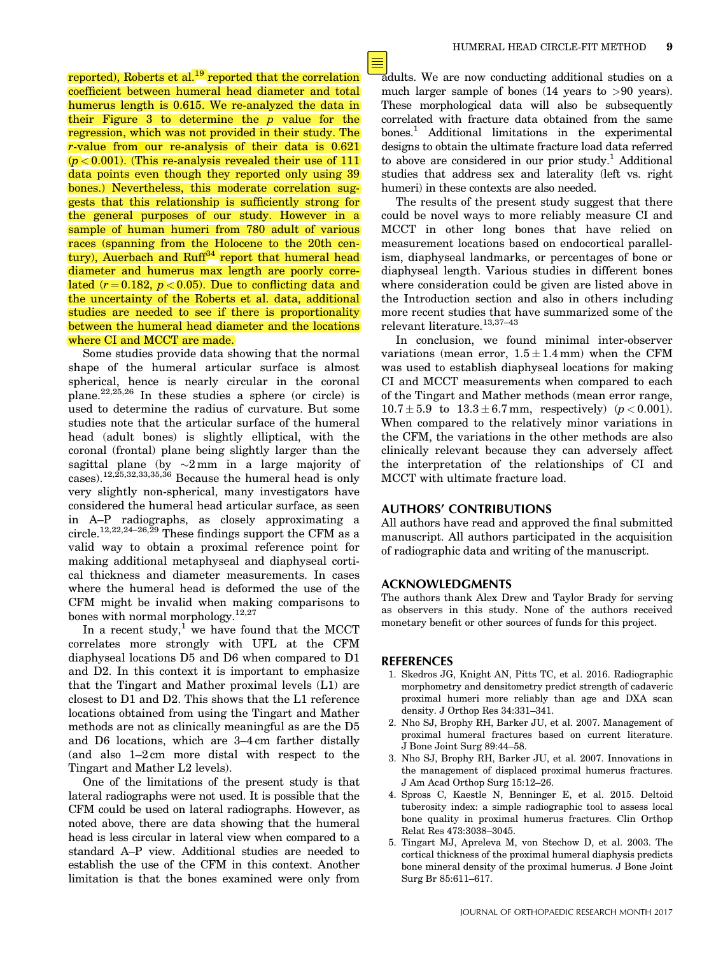reported), Roberts et al.<sup>19</sup> reported that the correlation coefficient between humeral head diameter and total humerus length is 0.615. We re-analyzed the data in their Figure  $3$  to determine the  $p$  value for the regression, which was not provided in their study. The r-value from our re-analysis of their data is 0.621  $(p < 0.001)$ . (This re-analysis revealed their use of 111 data points even though they reported only using 39 bones.) Nevertheless, this moderate correlation suggests that this relationship is sufficiently strong for the general purposes of our study. However in a sample of human humeri from 780 adult of various races (spanning from the Holocene to the 20th century), Auerbach and Ruff<sup>34</sup> report that humeral head diameter and humerus max length are poorly correlated  $(r = 0.182, p < 0.05)$ . Due to conflicting data and the uncertainty of the Roberts et al. data, additional studies are needed to see if there is proportionality between the humeral head diameter and the locations where CI and MCCT are made.

Some studies provide data showing that the normal shape of the humeral articular surface is almost spherical, hence is nearly circular in the coronal plane.22,25,26 In these studies a sphere (or circle) is used to determine the radius of curvature. But some studies note that the articular surface of the humeral head (adult bones) is slightly elliptical, with the coronal (frontal) plane being slightly larger than the sagittal plane (by  $\sim$ 2 mm in a large majority of cases).12,25,32,33,35,36 Because the humeral head is only very slightly non-spherical, many investigators have considered the humeral head articular surface, as seen in A–P radiographs, as closely approximating a circle.<sup>12,22,24–26,29</sup> These findings support the CFM as a valid way to obtain a proximal reference point for making additional metaphyseal and diaphyseal cortical thickness and diameter measurements. In cases where the humeral head is deformed the use of the CFM might be invalid when making comparisons to bones with normal morphology.<sup>12,27</sup>

In a recent study, $^{1}$  we have found that the MCCT correlates more strongly with UFL at the CFM diaphyseal locations D5 and D6 when compared to D1 and D2. In this context it is important to emphasize that the Tingart and Mather proximal levels (L1) are closest to D1 and D2. This shows that the L1 reference locations obtained from using the Tingart and Mather methods are not as clinically meaningful as are the D5 and D6 locations, which are 3–4 cm farther distally (and also 1–2 cm more distal with respect to the Tingart and Mather L2 levels).

One of the limitations of the present study is that lateral radiographs were not used. It is possible that the CFM could be used on lateral radiographs. However, as noted above, there are data showing that the humeral head is less circular in lateral view when compared to a standard A–P view. Additional studies are needed to establish the use of the CFM in this context. Another limitation is that the bones examined were only from adults. We are now conducting additional studies on a much larger sample of bones (14 years to >90 years). These morphological data will also be subsequently correlated with fracture data obtained from the same bones.<sup>1</sup> Additional limitations in the experimental designs to obtain the ultimate fracture load data referred to above are considered in our prior study.<sup>1</sup> Additional studies that address sex and laterality (left vs. right humeri) in these contexts are also needed.

The results of the present study suggest that there could be novel ways to more reliably measure CI and MCCT in other long bones that have relied on measurement locations based on endocortical parallelism, diaphyseal landmarks, or percentages of bone or diaphyseal length. Various studies in different bones where consideration could be given are listed above in the Introduction section and also in others including more recent studies that have summarized some of the relevant literature.13,37–43

In conclusion, we found minimal inter-observer variations (mean error,  $1.5 \pm 1.4$  mm) when the CFM was used to establish diaphyseal locations for making CI and MCCT measurements when compared to each of the Tingart and Mather methods (mean error range,  $10.7 \pm 5.9$  to  $13.3 \pm 6.7$  mm, respectively) ( $p < 0.001$ ). When compared to the relatively minor variations in the CFM, the variations in the other methods are also clinically relevant because they can adversely affect the interpretation of the relationships of CI and MCCT with ultimate fracture load.

## AUTHORS' CONTRIBUTIONS

All authors have read and approved the final submitted manuscript. All authors participated in the acquisition of radiographic data and writing of the manuscript.

## ACKNOWLEDGMENTS

The authors thank Alex Drew and Taylor Brady for serving as observers in this study. None of the authors received monetary benefit or other sources of funds for this project.

## REFERENCES

- 1. Skedros JG, Knight AN, Pitts TC, et al. 2016. Radiographic morphometry and densitometry predict strength of cadaveric proximal humeri more reliably than age and DXA scan density. J Orthop Res 34:331–341.
- 2. Nho SJ, Brophy RH, Barker JU, et al. 2007. Management of proximal humeral fractures based on current literature. J Bone Joint Surg 89:44–58.
- 3. Nho SJ, Brophy RH, Barker JU, et al. 2007. Innovations in the management of displaced proximal humerus fractures. J Am Acad Orthop Surg 15:12–26.
- 4. Spross C, Kaestle N, Benninger E, et al. 2015. Deltoid tuberosity index: a simple radiographic tool to assess local bone quality in proximal humerus fractures. Clin Orthop Relat Res 473:3038–3045.
- 5. Tingart MJ, Apreleva M, von Stechow D, et al. 2003. The cortical thickness of the proximal humeral diaphysis predicts bone mineral density of the proximal humerus. J Bone Joint Surg Br 85:611–617.